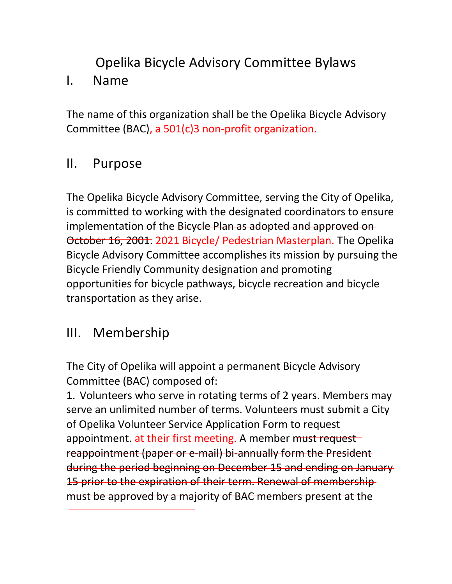# Opelika Bicycle Advisory Committee Bylaws

#### I. Name

The name of this organization shall be the Opelika Bicycle Advisory Committee (BAC), a 501(c)3 non-profit organization.

#### II. Purpose

The Opelika Bicycle Advisory Committee, serving the City of Opelika, is committed to working with the designated coordinators to ensure implementation of the Bicycle Plan as adopted and approved on October 16, 2001. 2021 Bicycle/ Pedestrian Masterplan. The Opelika Bicycle Advisory Committee accomplishes its mission by pursuing the Bicycle Friendly Community designation and promoting opportunities for bicycle pathways, bicycle recreation and bicycle transportation as they arise.

### III. Membership

The City of Opelika will appoint a permanent Bicycle Advisory Committee (BAC) composed of:

1. Volunteers who serve in rotating terms of 2 years. Members may serve an unlimited number of terms. Volunteers must submit a City of Opelika Volunteer Service Application Form to request appointment. at their first meeting. A member must request reappointment (paper or e-mail) bi-annually form the President during the period beginning on December 15 and ending on January 15 prior to the expiration of their term. Renewal of membershipmust be approved by a majority of BAC members present at the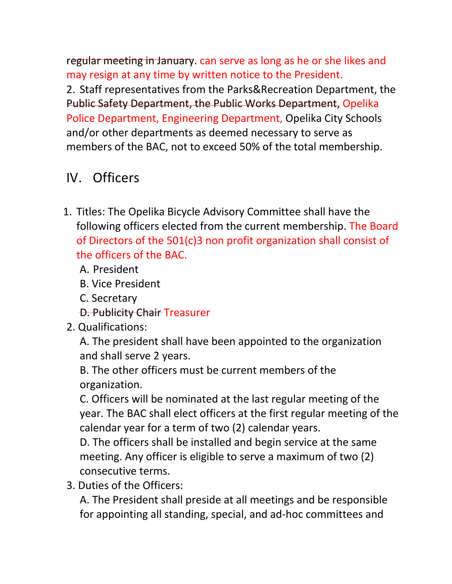regular meeting in January. can serve as long as he or she likes and may resign at any time by written notice to the President.

2. Staff representatives from the Parks&Recreation Department, the Public Safety Department, the Public Works Department, Opelika Police Department, Engineering Department, Opelika City Schools and/or other departments as deemed necessary to serve as members of the BAC, not to exceed 50% of the total membership.

# IV. Officers

- 1. Titles: The Opelika Bicycle Advisory Committee shall have the following officers elected from the current membership. The Board of Directors of the 501(c)3 non profit organization shall consist of the officers of the BAC.
	- A. President
	- B. Vice President
	- C. Secretary
	- D. Publicity Chair Treasurer
- 2. Qualifications:

A. The president shall have been appointed to the organization and shall serve 2 years.

B. The other officers must be current members of the organization.

C. Officers will be nominated at the last regular meeting of the year. The BAC shall elect officers at the first regular meeting of the calendar year for a term of two (2) calendar years.

D. The officers shall be installed and begin service at the same meeting. Any officer is eligible to serve a maximum of two (2) consecutive terms.

3. Duties of the Officers:

A. The President shall preside at all meetings and be responsible for appointing all standing, special, and ad-hoc committees and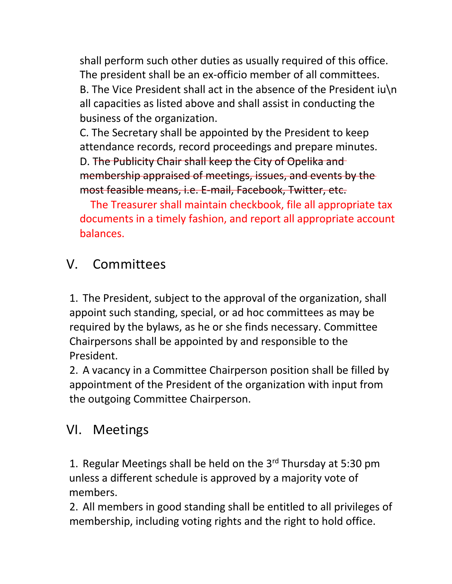shall perform such other duties as usually required of this office. The president shall be an ex-officio member of all committees. B. The Vice President shall act in the absence of the President iu\n all capacities as listed above and shall assist in conducting the business of the organization.

C. The Secretary shall be appointed by the President to keep attendance records, record proceedings and prepare minutes.

D. The Publicity Chair shall keep the City of Opelika and membership appraised of meetings, issues, and events by the most feasible means, i.e. E-mail, Facebook, Twitter, etc.

 The Treasurer shall maintain checkbook, file all appropriate tax documents in a timely fashion, and report all appropriate account balances.

# V. Committees

1. The President, subject to the approval of the organization, shall appoint such standing, special, or ad hoc committees as may be required by the bylaws, as he or she finds necessary. Committee Chairpersons shall be appointed by and responsible to the President.

2. A vacancy in a Committee Chairperson position shall be filled by appointment of the President of the organization with input from the outgoing Committee Chairperson.

# VI. Meetings

1. Regular Meetings shall be held on the  $3<sup>rd</sup>$  Thursday at 5:30 pm unless a different schedule is approved by a majority vote of members.

2. All members in good standing shall be entitled to all privileges of membership, including voting rights and the right to hold office.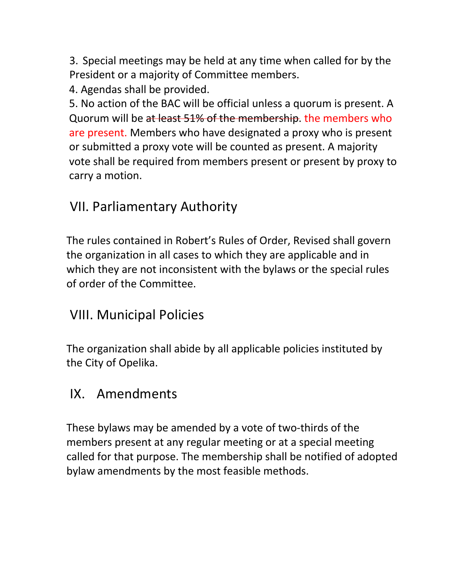3. Special meetings may be held at any time when called for by the President or a majority of Committee members.

4. Agendas shall be provided.

 5. No action of the BAC will be official unless a quorum is present. A Quorum will be at least 51% of the membership. the members who are present. Members who have designated a proxy who is present or submitted a proxy vote will be counted as present. A majority vote shall be required from members present or present by proxy to carry a motion.

## VII. Parliamentary Authority

 The rules contained in Robert's Rules of Order, Revised shall govern the organization in all cases to which they are applicable and in which they are not inconsistent with the bylaws or the special rules of order of the Committee.

### VIII. Municipal Policies

 The organization shall abide by all applicable policies instituted by the City of Opelika.

#### IX. Amendments

 These bylaws may be amended by a vote of two-thirds of the members present at any regular meeting or at a special meeting called for that purpose. The membership shall be notified of adopted bylaw amendments by the most feasible methods.